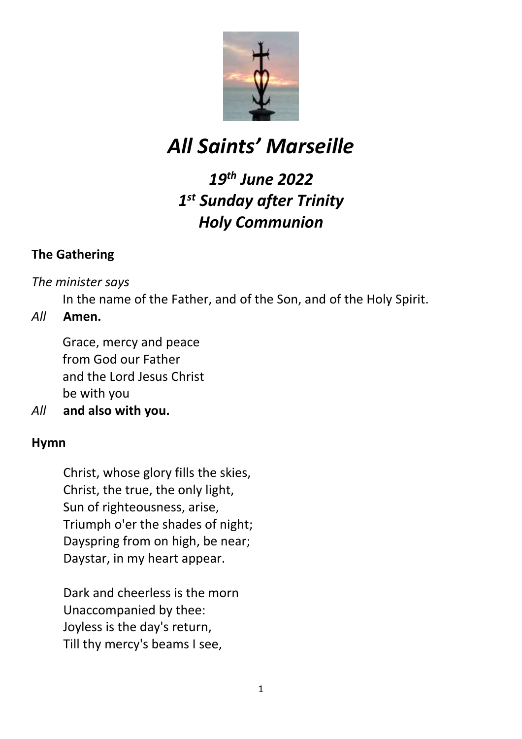

# *All Saints' Marseille*

# *19th June 2022 1 st Sunday after Trinity Holy Communion*

# **The Gathering**

*The minister says*

In the name of the Father, and of the Son, and of the Holy Spirit.

# *All* **Amen.**

Grace, mercy and peace from God our Father and the Lord Jesus Christ be with you

*All* **and also with you.**

# **Hymn**

Christ, whose glory fills the skies, Christ, the true, the only light, Sun of righteousness, arise, Triumph o'er the shades of night; Dayspring from on high, be near; Daystar, in my heart appear.

Dark and cheerless is the morn Unaccompanied by thee: Joyless is the day's return, Till thy mercy's beams I see,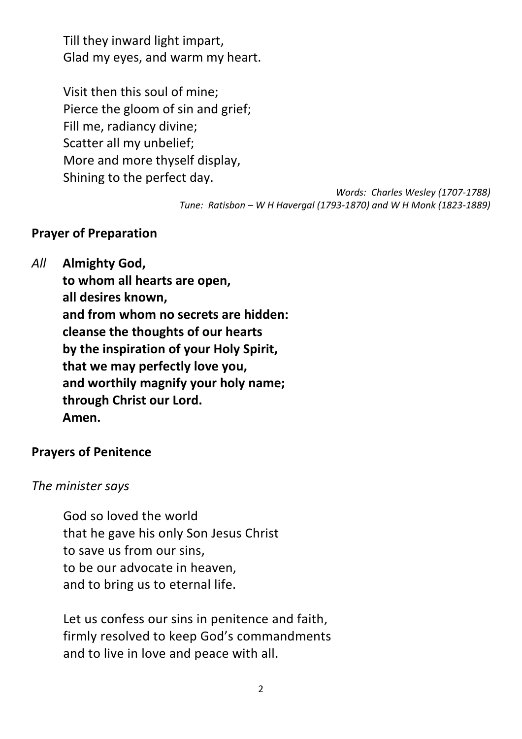Till they inward light impart, Glad my eyes, and warm my heart.

Visit then this soul of mine; Pierce the gloom of sin and grief; Fill me, radiancy divine; Scatter all my unbelief; More and more thyself display, Shining to the perfect day.

> *Words: Charles Wesley (1707-1788) Tune: Ratisbon – W H Havergal (1793-1870) and W H Monk (1823-1889)*

## **Prayer of Preparation**

*All* **Almighty God,**

**to whom all hearts are open, all desires known, and from whom no secrets are hidden: cleanse the thoughts of our hearts by the inspiration of your Holy Spirit, that we may perfectly love you, and worthily magnify your holy name; through Christ our Lord. Amen.**

#### **Prayers of Penitence**

#### *The minister says*

God so loved the world that he gave his only Son Jesus Christ to save us from our sins, to be our advocate in heaven, and to bring us to eternal life.

Let us confess our sins in penitence and faith, firmly resolved to keep God's commandments and to live in love and peace with all.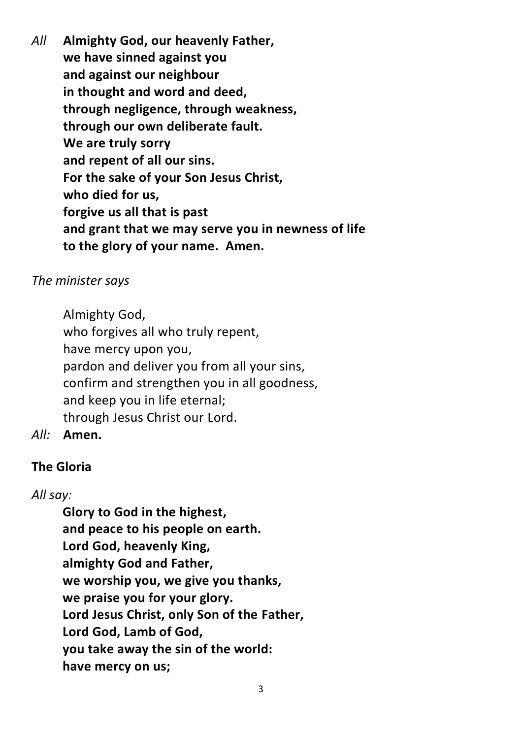*All* **Almighty God, our heavenly Father, we have sinned against you and against our neighbour in thought and word and deed, through negligence, through weakness, through our own deliberate fault. We are truly sorry and repent of all our sins. For the sake of your Son Jesus Christ, who died for us, forgive us all that is past and grant that we may serve you in newness of life to the glory of your name. Amen.**

## *The minister says*

Almighty God, who forgives all who truly repent, have mercy upon you, pardon and deliver you from all your sins, confirm and strengthen you in all goodness, and keep you in life eternal; through Jesus Christ our Lord.

*All:* **Amen.**

# **The Gloria**

# *All say:*

**Glory to God in the highest, and peace to his people on earth. Lord God, heavenly King, almighty God and Father, we worship you, we give you thanks, we praise you for your glory. Lord Jesus Christ, only Son of the Father, Lord God, Lamb of God, you take away the sin of the world: have mercy on us;**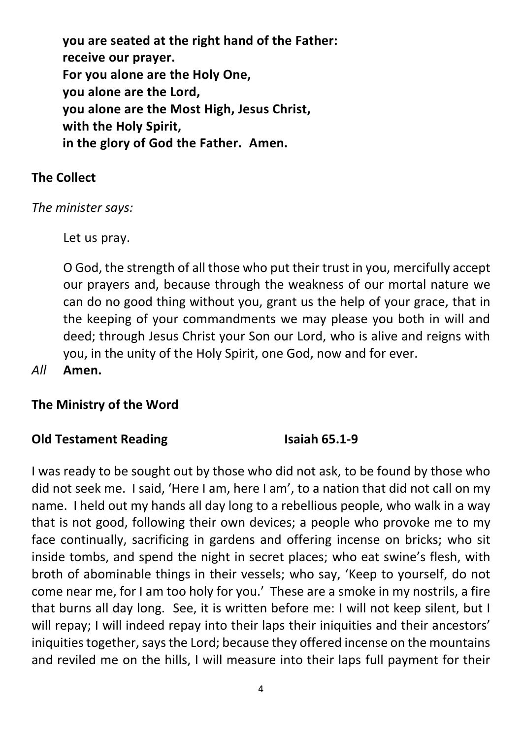**you are seated at the right hand of the Father: receive our prayer. For you alone are the Holy One, you alone are the Lord, you alone are the Most High, Jesus Christ, with the Holy Spirit, in the glory of God the Father. Amen.**

# **The Collect**

*The minister says:*

Let us pray.

O God, the strength of all those who put their trust in you, mercifully accept our prayers and, because through the weakness of our mortal nature we can do no good thing without you, grant us the help of your grace, that in the keeping of your commandments we may please you both in will and deed; through Jesus Christ your Son our Lord, who is alive and reigns with you, in the unity of the Holy Spirit, one God, now and for ever.

*All* **Amen.**

# **The Ministry of the Word**

# **Old Testament Reading**  Isaiah 65.1-9

I was ready to be sought out by those who did not ask, to be found by those who did not seek me. I said, 'Here I am, here I am', to a nation that did not call on my name. I held out my hands all day long to a rebellious people, who walk in a way that is not good, following their own devices; a people who provoke me to my face continually, sacrificing in gardens and offering incense on bricks; who sit inside tombs, and spend the night in secret places; who eat swine's flesh, with broth of abominable things in their vessels; who say, 'Keep to yourself, do not come near me, for I am too holy for you.' These are a smoke in my nostrils, a fire that burns all day long. See, it is written before me: I will not keep silent, but I will repay; I will indeed repay into their laps their iniquities and their ancestors' iniquities together, says the Lord; because they offered incense on the mountains and reviled me on the hills, I will measure into their laps full payment for their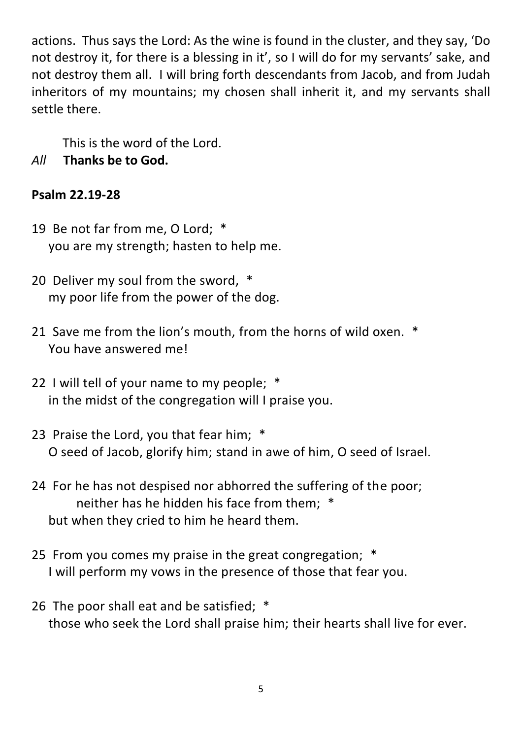actions. Thus says the Lord: As the wine is found in the cluster, and they say, 'Do not destroy it, for there is a blessing in it', so I will do for my servants' sake, and not destroy them all. I will bring forth descendants from Jacob, and from Judah inheritors of my mountains; my chosen shall inherit it, and my servants shall settle there.

This is the word of the Lord.

*All* **Thanks be to God.**

# **Psalm 22.19-28**

- 19 Be not far from me, O Lord; \* you are my strength; hasten to help me.
- 20 Deliver my soul from the sword, \* my poor life from the power of the dog.
- 21 Save me from the lion's mouth, from the horns of wild oxen. \* You have answered me!
- 22 I will tell of your name to my people; \* in the midst of the congregation will I praise you.
- 23 Praise the Lord, you that fear him; \* O seed of Jacob, glorify him; stand in awe of him, O seed of Israel.
- 24 For he has not despised nor abhorred the suffering of the poor; neither has he hidden his face from them; \* but when they cried to him he heard them.
- 25 From you comes my praise in the great congregation; \* I will perform my vows in the presence of those that fear you.
- 26 The poor shall eat and be satisfied; \* those who seek the Lord shall praise him; their hearts shall live for ever.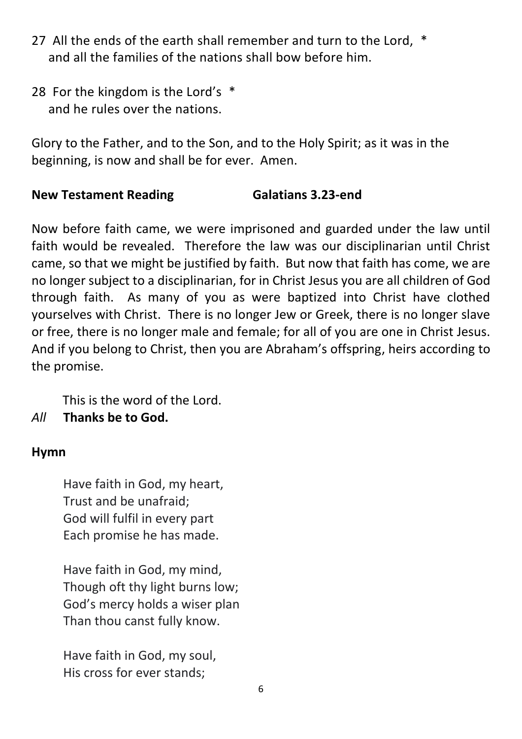- 27 All the ends of the earth shall remember and turn to the Lord, \* and all the families of the nations shall bow before him.
- 28 For the kingdom is the Lord's \* and he rules over the nations.

Glory to the Father, and to the Son, and to the Holy Spirit; as it was in the beginning, is now and shall be for ever. Amen.

# **New Testament Reading Galatians 3.23-end**

Now before faith came, we were imprisoned and guarded under the law until faith would be revealed. Therefore the law was our disciplinarian until Christ came, so that we might be justified by faith. But now that faith has come, we are no longer subject to a disciplinarian, for in Christ Jesus you are all children of God through faith. As many of you as were baptized into Christ have clothed yourselves with Christ. There is no longer Jew or Greek, there is no longer slave or free, there is no longer male and female; for all of you are one in Christ Jesus. And if you belong to Christ, then you are Abraham's offspring, heirs according to the promise.

This is the word of the Lord.

*All* **Thanks be to God.**

# **Hymn**

Have faith in God, my heart, Trust and be unafraid; God will fulfil in every part Each promise he has made.

Have faith in God, my mind, Though oft thy light burns low; God's mercy holds a wiser plan Than thou canst fully know.

Have faith in God, my soul, His cross for ever stands;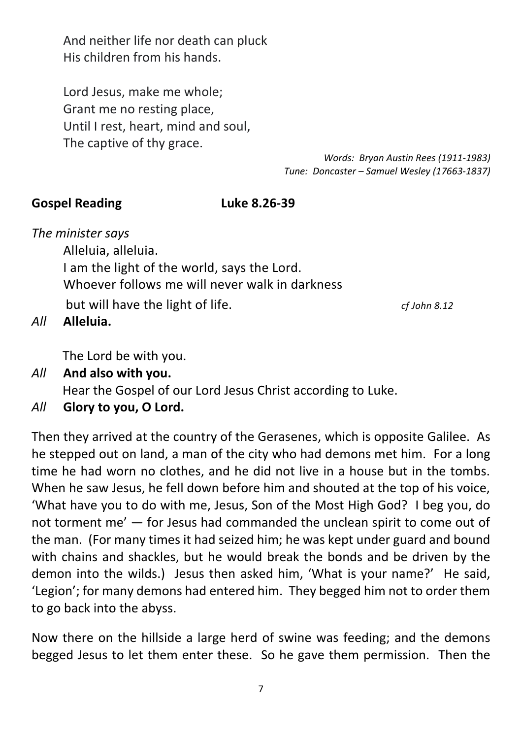And neither life nor death can pluck His children from his hands.

Lord Jesus, make me whole; Grant me no resting place, Until I rest, heart, mind and soul, The captive of thy grace.

> *Words: Bryan Austin Rees (1911-1983) Tune: Doncaster – Samuel Wesley (17663-1837)*

#### **Gospel Reading Luke 8.26-39**

*The minister says*

Alleluia, alleluia. I am the light of the world, says the Lord. Whoever follows me will never walk in darkness but will have the light of life. *cf John 8.12*

*All* **Alleluia.**

The Lord be with you.

- *All* **And also with you.** Hear the Gospel of our Lord Jesus Christ according to Luke.
- *All* **Glory to you, O Lord.**

Then they arrived at the country of the Gerasenes, which is opposite Galilee. As he stepped out on land, a man of the city who had demons met him. For a long time he had worn no clothes, and he did not live in a house but in the tombs. When he saw Jesus, he fell down before him and shouted at the top of his voice, 'What have you to do with me, Jesus, Son of the Most High God? I beg you, do not torment me' — for Jesus had commanded the unclean spirit to come out of the man. (For many times it had seized him; he was kept under guard and bound with chains and shackles, but he would break the bonds and be driven by the demon into the wilds.) Jesus then asked him, 'What is your name?' He said, 'Legion'; for many demons had entered him. They begged him not to order them to go back into the abyss.

Now there on the hillside a large herd of swine was feeding; and the demons begged Jesus to let them enter these. So he gave them permission. Then the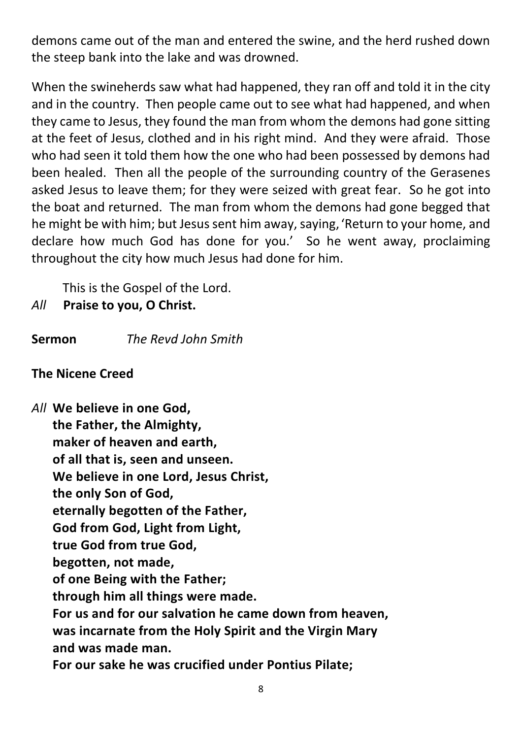demons came out of the man and entered the swine, and the herd rushed down the steep bank into the lake and was drowned.

When the swineherds saw what had happened, they ran off and told it in the city and in the country. Then people came out to see what had happened, and when they came to Jesus, they found the man from whom the demons had gone sitting at the feet of Jesus, clothed and in his right mind. And they were afraid. Those who had seen it told them how the one who had been possessed by demons had been healed. Then all the people of the surrounding country of the Gerasenes asked Jesus to leave them; for they were seized with great fear. So he got into the boat and returned. The man from whom the demons had gone begged that he might be with him; but Jesus sent him away, saying, 'Return to your home, and declare how much God has done for you.' So he went away, proclaiming throughout the city how much Jesus had done for him.

This is the Gospel of the Lord.

# *All* **Praise to you, O Christ.**

**Sermon** *The Revd John Smith*

# **The Nicene Creed**

*All* **We believe in one God, the Father, the Almighty, maker of heaven and earth, of all that is, seen and unseen. We believe in one Lord, Jesus Christ, the only Son of God, eternally begotten of the Father, God from God, Light from Light, true God from true God, begotten, not made, of one Being with the Father; through him all things were made. For us and for our salvation he came down from heaven, was incarnate from the Holy Spirit and the Virgin Mary and was made man. For our sake he was crucified under Pontius Pilate;**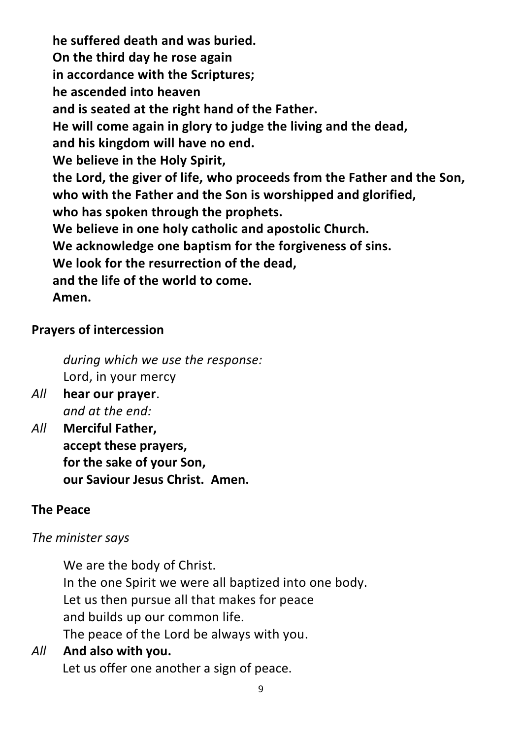**he suffered death and was buried. On the third day he rose again in accordance with the Scriptures; he ascended into heaven and is seated at the right hand of the Father. He will come again in glory to judge the living and the dead, and his kingdom will have no end. We believe in the Holy Spirit, the Lord, the giver of life, who proceeds from the Father and the Son, who with the Father and the Son is worshipped and glorified, who has spoken through the prophets. We believe in one holy catholic and apostolic Church. We acknowledge one baptism for the forgiveness of sins. We look for the resurrection of the dead, and the life of the world to come. Amen.**

#### **Prayers of intercession**

*during which we use the response:* Lord, in your mercy

- *All* **hear our prayer**. *and at the end:*
- *All* **Merciful Father, accept these prayers, for the sake of your Son, our Saviour Jesus Christ. Amen.**

#### **The Peace**

# *The minister says*

We are the body of Christ. In the one Spirit we were all baptized into one body. Let us then pursue all that makes for peace and builds up our common life. The peace of the Lord be always with you.

# *All* **And also with you.** Let us offer one another a sign of peace.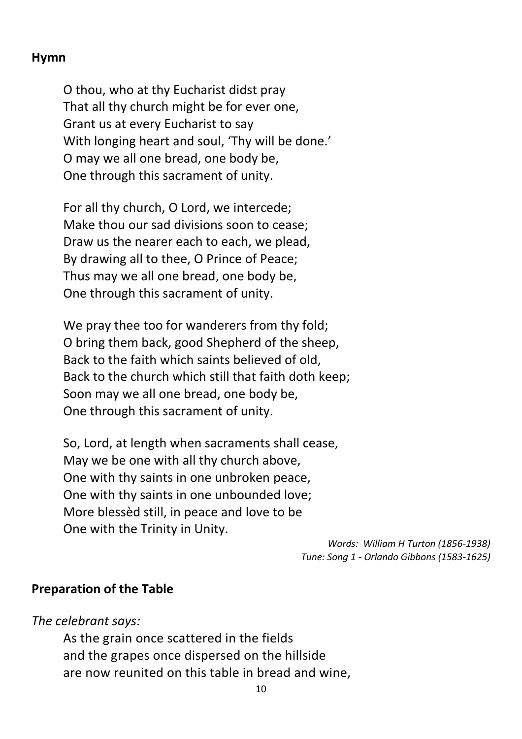## **Hymn**

O thou, who at thy Eucharist didst pray That all thy church might be for ever one, Grant us at every Eucharist to say With longing heart and soul, 'Thy will be done.' O may we all one bread, one body be, One through this sacrament of unity.

For all thy church, O Lord, we intercede; Make thou our sad divisions soon to cease; Draw us the nearer each to each, we plead, By drawing all to thee, O Prince of Peace; Thus may we all one bread, one body be, One through this sacrament of unity.

We pray thee too for wanderers from thy fold; O bring them back, good Shepherd of the sheep, Back to the faith which saints believed of old, Back to the church which still that faith doth keep; Soon may we all one bread, one body be, One through this sacrament of unity.

So, Lord, at length when sacraments shall cease, May we be one with all thy church above, One with thy saints in one unbroken peace, One with thy saints in one unbounded love; More blessèd still, in peace and love to be One with the Trinity in Unity.

> *Words: William H Turton (1856-1938) Tune: Song 1 - Orlando Gibbons (1583-1625)*

#### **Preparation of the Table**

*The celebrant says:*

As the grain once scattered in the fields and the grapes once dispersed on the hillside are now reunited on this table in bread and wine,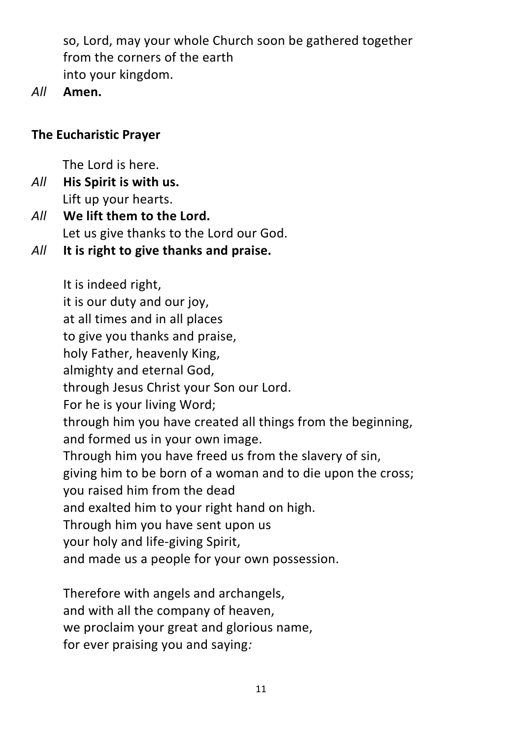so, Lord, may your whole Church soon be gathered together from the corners of the earth into your kingdom.

*All* **Amen.**

# **The Eucharistic Prayer**

The Lord is here.

*All* **His Spirit is with us.** Lift up your hearts.

*All* **We lift them to the Lord.** Let us give thanks to the Lord our God.

*All* **It is right to give thanks and praise.**

It is indeed right, it is our duty and our joy, at all times and in all places to give you thanks and praise, holy Father, heavenly King, almighty and eternal God, through Jesus Christ your Son our Lord. For he is your living Word; through him you have created all things from the beginning, and formed us in your own image. Through him you have freed us from the slavery of sin, giving him to be born of a woman and to die upon the cross; you raised him from the dead and exalted him to your right hand on high. Through him you have sent upon us your holy and life-giving Spirit, and made us a people for your own possession.

Therefore with angels and archangels, and with all the company of heaven, we proclaim your great and glorious name, for ever praising you and saying*:*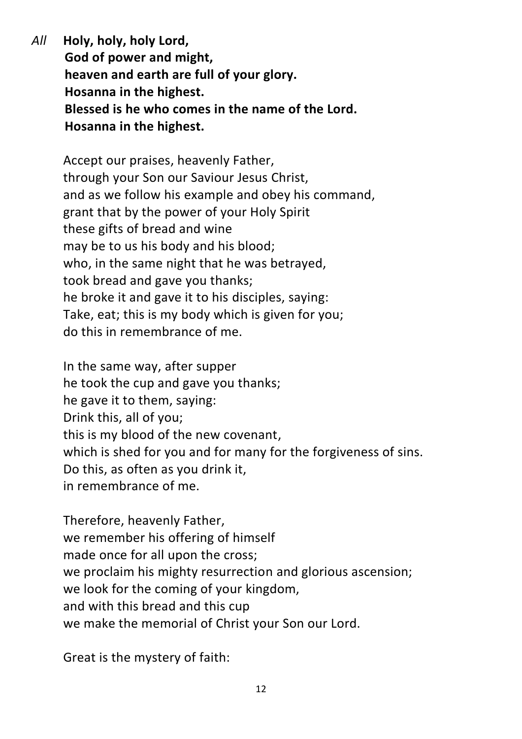*All* **Holy, holy, holy Lord, God of power and might, heaven and earth are full of your glory. Hosanna in the highest. Blessed is he who comes in the name of the Lord. Hosanna in the highest.**

Accept our praises, heavenly Father, through your Son our Saviour Jesus Christ, and as we follow his example and obey his command, grant that by the power of your Holy Spirit these gifts of bread and wine may be to us his body and his blood; who, in the same night that he was betrayed, took bread and gave you thanks; he broke it and gave it to his disciples, saying: Take, eat; this is my body which is given for you; do this in remembrance of me.

In the same way, after supper he took the cup and gave you thanks; he gave it to them, saying: Drink this, all of you; this is my blood of the new covenant, which is shed for you and for many for the forgiveness of sins. Do this, as often as you drink it, in remembrance of me.

Therefore, heavenly Father, we remember his offering of himself made once for all upon the cross; we proclaim his mighty resurrection and glorious ascension; we look for the coming of your kingdom, and with this bread and this cup we make the memorial of Christ your Son our Lord.

Great is the mystery of faith: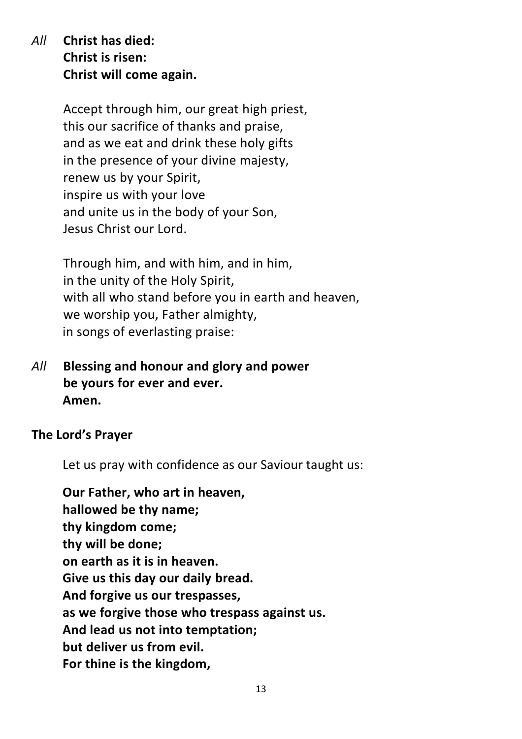*All* **Christ has died: Christ is risen: Christ will come again.**

> Accept through him, our great high priest, this our sacrifice of thanks and praise, and as we eat and drink these holy gifts in the presence of your divine majesty, renew us by your Spirit, inspire us with your love and unite us in the body of your Son, Jesus Christ our Lord.

Through him, and with him, and in him, in the unity of the Holy Spirit, with all who stand before you in earth and heaven, we worship you, Father almighty, in songs of everlasting praise:

*All* **Blessing and honour and glory and power be yours for ever and ever. Amen.**

**The Lord's Prayer**

Let us pray with confidence as our Saviour taught us:

**Our Father, who art in heaven, hallowed be thy name; thy kingdom come; thy will be done; on earth as it is in heaven. Give us this day our daily bread. And forgive us our trespasses, as we forgive those who trespass against us. And lead us not into temptation; but deliver us from evil. For thine is the kingdom,**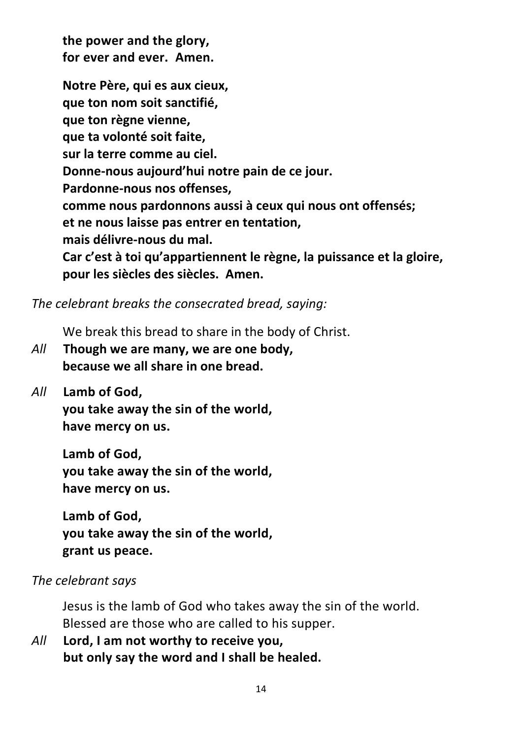**the power and the glory, for ever and ever. Amen.**

**Notre Père, qui es aux cieux, que ton nom soit sanctifié, que ton règne vienne, que ta volonté soit faite, sur la terre comme au ciel. Donne-nous aujourd'hui notre pain de ce jour. Pardonne-nous nos offenses, comme nous pardonnons aussi à ceux qui nous ont offensés; et ne nous laisse pas entrer en tentation, mais délivre-nous du mal. Car c'est à toi qu'appartiennent le règne, la puissance et la gloire, pour les siècles des siècles. Amen.**

*The celebrant breaks the consecrated bread, saying:*

We break this bread to share in the body of Christ.

- *All* **Though we are many, we are one body, because we all share in one bread.**
- *All* **Lamb of God,**

**you take away the sin of the world, have mercy on us.**

**Lamb of God, you take away the sin of the world, have mercy on us.**

**Lamb of God, you take away the sin of the world, grant us peace.**

# *The celebrant says*

Jesus is the lamb of God who takes away the sin of the world. Blessed are those who are called to his supper.

*All* **Lord, I am not worthy to receive you, but only say the word and I shall be healed.**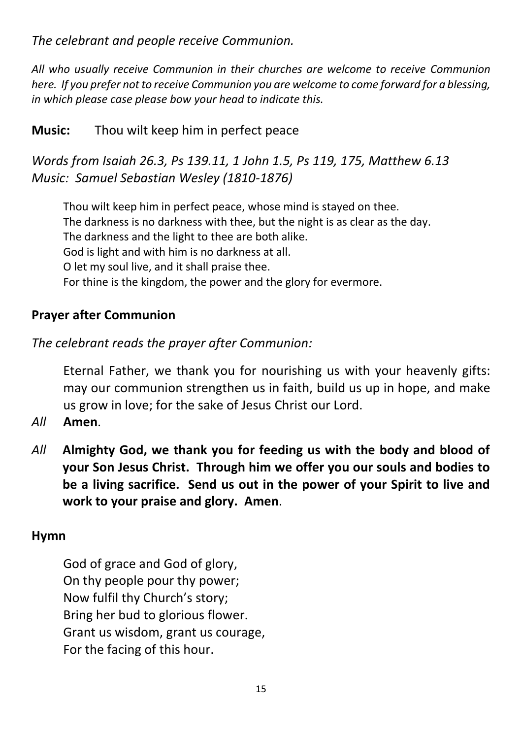*The celebrant and people receive Communion.*

*All who usually receive Communion in their churches are welcome to receive Communion here. If you prefer not to receive Communion you are welcome to come forward for a blessing, in which please case please bow your head to indicate this.*

# **Music:** Thou wilt keep him in perfect peace

*Words from Isaiah 26.3, Ps 139.11, 1 John 1.5, Ps 119, 175, Matthew 6.13 Music: Samuel Sebastian Wesley (1810-1876)*

Thou wilt keep him in perfect peace, whose mind is stayed on thee. The darkness is no darkness with thee, but the night is as clear as the day. The darkness and the light to thee are both alike. God is light and with him is no darkness at all. O let my soul live, and it shall praise thee. For thine is the kingdom, the power and the glory for evermore.

## **Prayer after Communion**

*The celebrant reads the prayer after Communion:*

Eternal Father, we thank you for nourishing us with your heavenly gifts: may our communion strengthen us in faith, build us up in hope, and make us grow in love; for the sake of Jesus Christ our Lord.

- *All* **Amen**.
- *All* **Almighty God, we thank you for feeding us with the body and blood of your Son Jesus Christ. Through him we offer you our souls and bodies to be a living sacrifice. Send us out in the power of your Spirit to live and work to your praise and glory. Amen**.

#### **Hymn**

God of grace and God of glory, On thy people pour thy power; Now fulfil thy Church's story; Bring her bud to glorious flower. Grant us wisdom, grant us courage, For the facing of this hour.